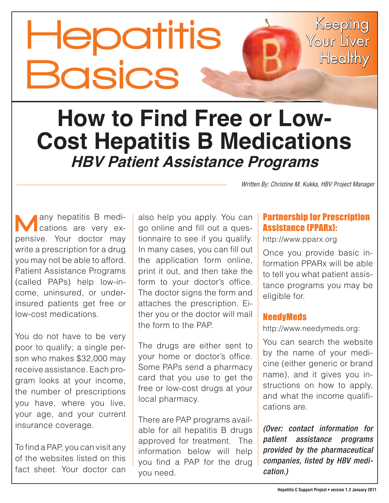## Hepatitis **B** Your Liver<br>Basics **How to Find Free or Low-Cost Hepatitis B Medications HBV Patient Assistance Programs**

*Written By: Christine M. Kukka, HBV Project Manager*

**M** any hepatitis B medi-<br> **CALC** cations are very expensive. Your doctor may write a prescription for a drug you may not be able to afford. Patient Assistance Programs (called PAPs) help low-income, uninsured, or underinsured patients get free or low-cost medications.

You do not have to be very poor to qualify; a single person who makes \$32,000 may receive assistance. Each program looks at your income, the number of prescriptions you have, where you live, your age, and your current insurance coverage.

To find a PAP, you can visit any of the websites listed on this fact sheet. Your doctor can

also help you apply. You can go online and fill out a questionnaire to see if you qualify. In many cases, you can fill out the application form online, print it out, and then take the form to your doctor's office. The doctor signs the form and attaches the prescription. Either you or the doctor will mail the form to the PAP.

The drugs are either sent to your home or doctor's office. Some PAPs send a pharmacy card that you use to get the free or low-cost drugs at your local pharmacy.

There are PAP programs available for all hepatitis B drugs approved for treatment. The information below will help you find a PAP for the drug you need.

## Partnership for Prescription Assistance (PPARx):

Keeping

http://www.pparx.org

Once you provide basic information PPARx will be able to tell you what patient assistance programs you may be eligible for.

## NeedyMeds

http://www.needymeds.org:

You can search the website by the name of your medicine (either generic or brand name), and it gives you instructions on how to apply, and what the income qualifications are.

*(Over: contact information for patient assistance programs provided by the pharmaceutical companies, listed by HBV medication.)*